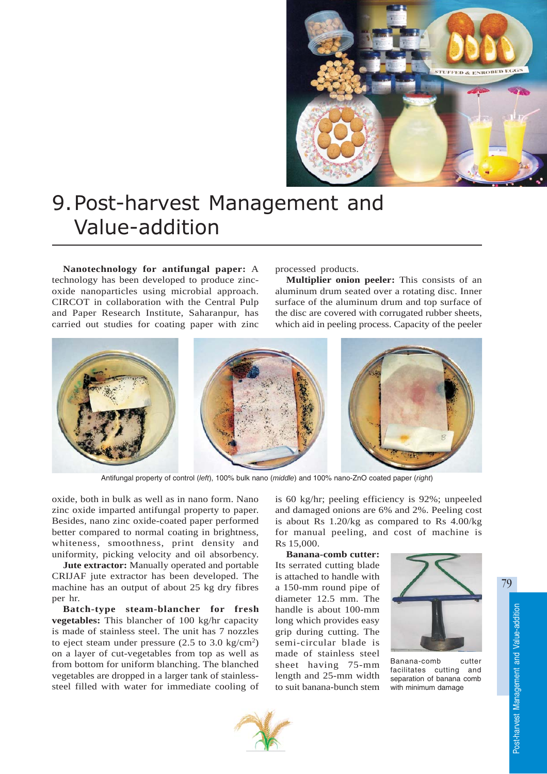

# 9.Post-harvest Management and Value-addition

**Nanotechnology for antifungal paper:** A technology has been developed to produce zincoxide nanoparticles using microbial approach. CIRCOT in collaboration with the Central Pulp and Paper Research Institute, Saharanpur, has carried out studies for coating paper with zinc

processed products.

**Multiplier onion peeler:** This consists of an aluminum drum seated over a rotating disc. Inner surface of the aluminum drum and top surface of the disc are covered with corrugated rubber sheets, which aid in peeling process. Capacity of the peeler



Antifungal property of control (*left*), 100% bulk nano (*middle*) and 100% nano-ZnO coated paper (*right*)

oxide, both in bulk as well as in nano form. Nano zinc oxide imparted antifungal property to paper. Besides, nano zinc oxide-coated paper performed better compared to normal coating in brightness, whiteness, smoothness, print density and uniformity, picking velocity and oil absorbency.

**Jute extractor:** Manually operated and portable CRIJAF jute extractor has been developed. The machine has an output of about 25 kg dry fibres per hr.

**Batch-type steam-blancher for fresh vegetables:** This blancher of 100 kg/hr capacity is made of stainless steel. The unit has 7 nozzles to eject steam under pressure (2.5 to 3.0 kg/cm2) on a layer of cut-vegetables from top as well as from bottom for uniform blanching. The blanched vegetables are dropped in a larger tank of stainlesssteel filled with water for immediate cooling of is 60 kg/hr; peeling efficiency is 92%; unpeeled and damaged onions are 6% and 2%. Peeling cost is about Rs 1.20/kg as compared to Rs 4.00/kg for manual peeling, and cost of machine is Rs 15,000.

**Banana-comb cutter:** Its serrated cutting blade is attached to handle with a 150-mm round pipe of diameter 12.5 mm. The handle is about 100-mm long which provides easy grip during cutting. The semi-circular blade is made of stainless steel sheet having 75-mm length and 25-mm width to suit banana-bunch stem



Banana-comb cutter facilitates cutting and separation of banana comb with minimum damage



79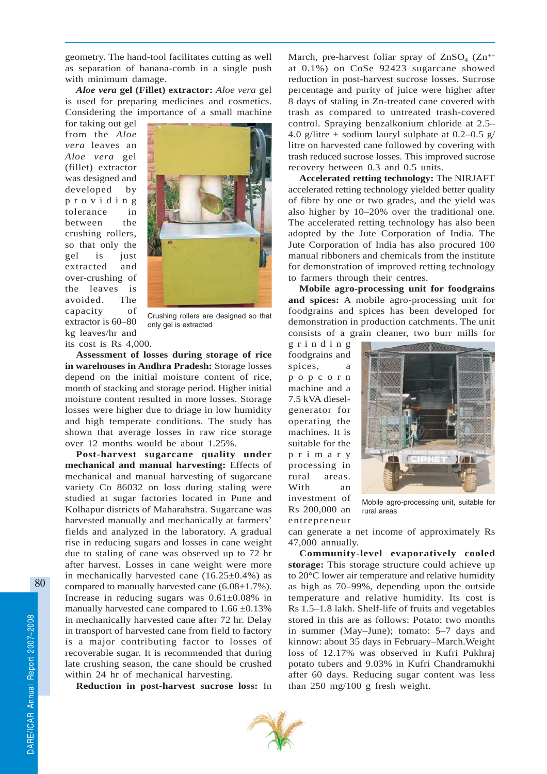geometry. The hand-tool facilitates cutting as well as separation of banana-comb in a single push with minimum damage.

*Aloe vera* **gel (Fillet) extractor:** *Aloe vera* gel is used for preparing medicines and cosmetics. Considering the importance of a small machine

for taking out gel from the *Aloe vera* leaves an *Aloe vera* gel (fillet) extractor was designed and developed by providing tolerance in between the crushing rollers, so that only the gel is just extracted and over-crushing of the leaves is avoided. The capacity of extractor is 60–80 kg leaves/hr and its cost is Rs 4,000.



Crushing rollers are designed so that only gel is extracted

**Assessment of losses during storage of rice in warehouses in Andhra Pradesh:** Storage losses depend on the initial moisture content of rice, month of stacking and storage period. Higher initial moisture content resulted in more losses. Storage losses were higher due to driage in low humidity and high temperate conditions. The study has shown that average losses in raw rice storage over 12 months would be about 1.25%.

**Post-harvest sugarcane quality under mechanical and manual harvesting:** Effects of mechanical and manual harvesting of sugarcane variety Co 86032 on loss during staling were studied at sugar factories located in Pune and Kolhapur districts of Maharahstra. Sugarcane was harvested manually and mechanically at farmers' fields and analyzed in the laboratory. A gradual rise in reducing sugars and losses in cane weight due to staling of cane was observed up to 72 hr after harvest. Losses in cane weight were more in mechanically harvested cane  $(16.25\pm0.4\%)$  as compared to manually harvested cane (6.08±1.7%). Increase in reducing sugars was 0.61±0.08% in manually harvested cane compared to  $1.66 \pm 0.13\%$ in mechanically harvested cane after 72 hr. Delay in transport of harvested cane from field to factory is a major contributing factor to losses of recoverable sugar. It is recommended that during late crushing season, the cane should be crushed within 24 hr of mechanical harvesting.

**Reduction in post-harvest sucrose loss:** In

March, pre-harvest foliar spray of  $ZnSO<sub>4</sub>$  ( $Zn^{++}$ ) at 0.1%) on CoSe 92423 sugarcane showed reduction in post-harvest sucrose losses. Sucrose percentage and purity of juice were higher after 8 days of staling in Zn-treated cane covered with trash as compared to untreated trash-covered control. Spraying benzalkonium chloride at 2.5– 4.0 g/litre + sodium lauryl sulphate at  $0.2-0.5$  g/ litre on harvested cane followed by covering with trash reduced sucrose losses. This improved sucrose recovery between 0.3 and 0.5 units.

**Accelerated retting technology:** The NIRJAFT accelerated retting technology yielded better quality of fibre by one or two grades, and the yield was also higher by 10–20% over the traditional one. The accelerated retting technology has also been adopted by the Jute Corporation of India. The Jute Corporation of India has also procured 100 manual ribboners and chemicals from the institute for demonstration of improved retting technology to farmers through their centres.

**Mobile agro-processing unit for foodgrains and spices:** A mobile agro-processing unit for foodgrains and spices has been developed for demonstration in production catchments. The unit consists of a grain cleaner, two burr mills for

grinding foodgrains and spices, a popcorn machine and a 7.5 kVA dieselgenerator for operating the machines. It is suitable for the primary processing in rural areas. With an investment of Rs 200,000 an entrepreneur



Mobile agro-processing unit, suitable for rural areas

can generate a net income of approximately Rs 47,000 annually.

**Community-level evaporatively cooled storage:** This storage structure could achieve up to 20°C lower air temperature and relative humidity as high as 70–99%, depending upon the outside temperature and relative humidity. Its cost is Rs 1.5–1.8 lakh. Shelf-life of fruits and vegetables stored in this are as follows: Potato: two months in summer (May–June); tomato: 5–7 days and kinnow: about 35 days in February–March.Weight loss of 12.17% was observed in Kufri Pukhraj potato tubers and 9.03% in Kufri Chandramukhi after 60 days. Reducing sugar content was less than 250 mg/100 g fresh weight.

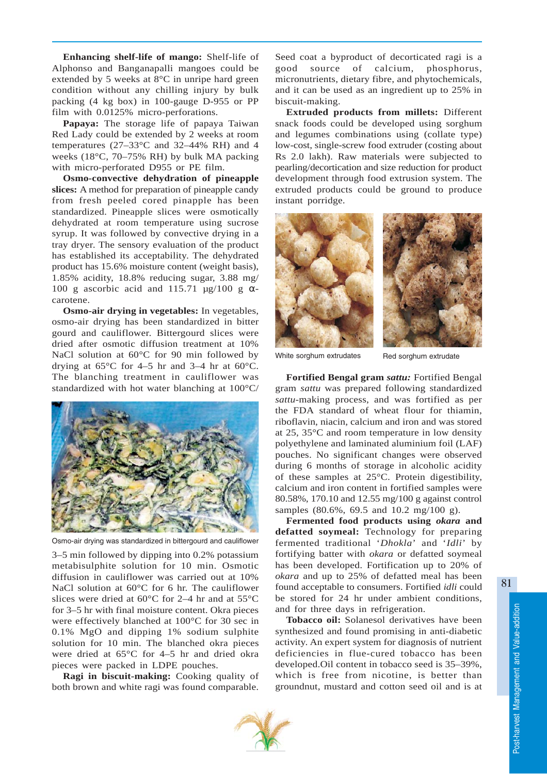**Enhancing shelf-life of mango:** Shelf-life of Alphonso and Banganapalli mangoes could be extended by 5 weeks at 8°C in unripe hard green condition without any chilling injury by bulk packing (4 kg box) in 100-gauge D-955 or PP film with 0.0125% micro-perforations.

**Papaya:** The storage life of papaya Taiwan Red Lady could be extended by 2 weeks at room temperatures (27–33°C and 32–44% RH) and 4 weeks (18°C, 70–75% RH) by bulk MA packing with micro-perforated D955 or PE film.

**Osmo-convective dehydration of pineapple slices:** A method for preparation of pineapple candy from fresh peeled cored pinapple has been standardized. Pineapple slices were osmotically dehydrated at room temperature using sucrose syrup. It was followed by convective drying in a tray dryer. The sensory evaluation of the product has established its acceptability. The dehydrated product has 15.6% moisture content (weight basis), 1.85% acidity, 18.8% reducing sugar, 3.88 mg/ 100 g ascorbic acid and 115.71  $\mu$ g/100 g  $\alpha$ carotene.

**Osmo-air drying in vegetables:** In vegetables, osmo-air drying has been standardized in bitter gourd and cauliflower. Bittergourd slices were dried after osmotic diffusion treatment at 10% NaCl solution at 60°C for 90 min followed by drying at  $65^{\circ}$ C for 4–5 hr and 3–4 hr at  $60^{\circ}$ C. The blanching treatment in cauliflower was standardized with hot water blanching at 100°C/



Osmo-air drying was standardized in bittergourd and cauliflower

3–5 min followed by dipping into 0.2% potassium metabisulphite solution for 10 min. Osmotic diffusion in cauliflower was carried out at 10% NaCl solution at 60°C for 6 hr. The cauliflower slices were dried at 60°C for 2–4 hr and at 55°C for 3–5 hr with final moisture content. Okra pieces were effectively blanched at 100°C for 30 sec in 0.1% MgO and dipping 1% sodium sulphite solution for 10 min. The blanched okra pieces were dried at 65°C for 4–5 hr and dried okra pieces were packed in LDPE pouches.

**Ragi in biscuit-making:** Cooking quality of both brown and white ragi was found comparable.

Seed coat a byproduct of decorticated ragi is a good source of calcium, phosphorus, micronutrients, dietary fibre, and phytochemicals, and it can be used as an ingredient up to 25% in biscuit-making.

**Extruded products from millets:** Different snack foods could be developed using sorghum and legumes combinations using (collate type) low-cost, single-screw food extruder (costing about Rs 2.0 lakh). Raw materials were subjected to pearling/decortication and size reduction for product development through food extrusion system. The extruded products could be ground to produce instant porridge.





White sorghum extrudates Red sorghum extrudate

**Fortified Bengal gram** *sattu:* Fortified Bengal gram *sattu* was prepared following standardized *sattu-*making process, and was fortified as per the FDA standard of wheat flour for thiamin, riboflavin, niacin, calcium and iron and was stored at 25, 35°C and room temperature in low density polyethylene and laminated aluminium foil (LAF) pouches. No significant changes were observed during 6 months of storage in alcoholic acidity of these samples at 25°C. Protein digestibility, calcium and iron content in fortified samples were 80.58%, 170.10 and 12.55 mg/100 g against control samples (80.6%, 69.5 and 10.2 mg/100 g).

**Fermented food products using** *okara* **and defatted soymeal:** Technology for preparing fermented traditional '*Dhokla*' and '*Idli*' by fortifying batter with *okara* or defatted soymeal has been developed. Fortification up to 20% of *okara* and up to 25% of defatted meal has been found acceptable to consumers. Fortified *idli* could be stored for 24 hr under ambient conditions, and for three days in refrigeration.

**Tobacco oil:** Solanesol derivatives have been synthesized and found promising in anti-diabetic activity. An expert system for diagnosis of nutrient deficiencies in flue-cured tobacco has been developed.Oil content in tobacco seed is 35–39%, which is free from nicotine, is better than groundnut, mustard and cotton seed oil and is at

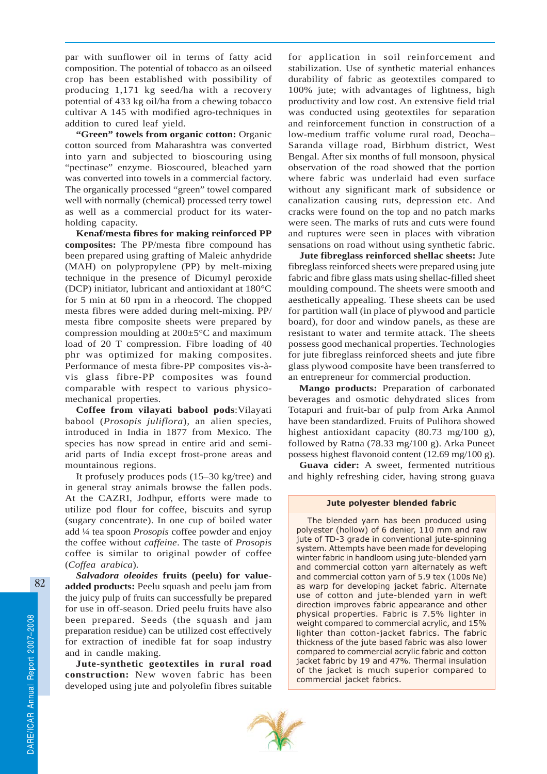par with sunflower oil in terms of fatty acid composition. The potential of tobacco as an oilseed crop has been established with possibility of producing 1,171 kg seed/ha with a recovery potential of 433 kg oil/ha from a chewing tobacco cultivar A 145 with modified agro-techniques in addition to cured leaf yield.

**"Green" towels from organic cotton:** Organic cotton sourced from Maharashtra was converted into yarn and subjected to bioscouring using "pectinase" enzyme. Bioscoured, bleached yarn was converted into towels in a commercial factory. The organically processed "green" towel compared well with normally (chemical) processed terry towel as well as a commercial product for its waterholding capacity.

**Kenaf/mesta fibres for making reinforced PP composites:** The PP/mesta fibre compound has been prepared using grafting of Maleic anhydride (MAH) on polypropylene (PP) by melt-mixing technique in the presence of Dicumyl peroxide (DCP) initiator, lubricant and antioxidant at 180°C for 5 min at 60 rpm in a rheocord. The chopped mesta fibres were added during melt-mixing. PP/ mesta fibre composite sheets were prepared by compression moulding at 200±5°C and maximum load of 20 T compression. Fibre loading of 40 phr was optimized for making composites. Performance of mesta fibre-PP composites vis-àvis glass fibre-PP composites was found comparable with respect to various physicomechanical properties.

**Coffee from vilayati babool pods**:Vilayati babool (*Prosopis juliflora*)*,* an alien species, introduced in India in 1877 from Mexico. The species has now spread in entire arid and semiarid parts of India except frost-prone areas and mountainous regions.

It profusely produces pods (15–30 kg/tree) and in general stray animals browse the fallen pods. At the CAZRI, Jodhpur, efforts were made to utilize pod flour for coffee, biscuits and syrup (sugary concentrate). In one cup of boiled water add ¼ tea spoon *Prosopis* coffee powder and enjoy the coffee without *caffeine*. The taste of *Prosopis* coffee is similar to original powder of coffee (*Coffea arabica*)*.*

*Salvadora oleoides* **fruits (peelu) for valueadded products:** Peelu squash and peelu jam from the juicy pulp of fruits can successfully be prepared for use in off-season. Dried peelu fruits have also been prepared. Seeds (the squash and jam preparation residue) can be utilized cost effectively for extraction of inedible fat for soap industry and in candle making.

**Jute-synthetic geotextiles in rural road construction:** New woven fabric has been developed using jute and polyolefin fibres suitable for application in soil reinforcement and stabilization. Use of synthetic material enhances durability of fabric as geotextiles compared to 100% jute; with advantages of lightness, high productivity and low cost. An extensive field trial was conducted using geotextiles for separation and reinforcement function in construction of a low-medium traffic volume rural road, Deocha– Saranda village road, Birbhum district, West Bengal. After six months of full monsoon, physical observation of the road showed that the portion where fabric was underlaid had even surface without any significant mark of subsidence or canalization causing ruts, depression etc. And cracks were found on the top and no patch marks were seen. The marks of ruts and cuts were found and ruptures were seen in places with vibration sensations on road without using synthetic fabric.

**Jute fibreglass reinforced shellac sheets:** Jute fibreglass reinforced sheets were prepared using jute fabric and fibre glass mats using shellac-filled sheet moulding compound. The sheets were smooth and aesthetically appealing. These sheets can be used for partition wall (in place of plywood and particle board), for door and window panels, as these are resistant to water and termite attack. The sheets possess good mechanical properties. Technologies for jute fibreglass reinforced sheets and jute fibre glass plywood composite have been transferred to an entrepreneur for commercial production.

**Mango products:** Preparation of carbonated beverages and osmotic dehydrated slices from Totapuri and fruit-bar of pulp from Arka Anmol have been standardized. Fruits of Pulihora showed highest antioxidant capacity (80.73 mg/100 g), followed by Ratna (78.33 mg/100 g). Arka Puneet possess highest flavonoid content (12.69 mg/100 g).

**Guava cider:** A sweet, fermented nutritious and highly refreshing cider, having strong guava

### Jute polyester blended fabric

The blended yarn has been produced using polyester (hollow) of 6 denier, 110 mm and raw jute of TD-3 grade in conventional jute-spinning system. Attempts have been made for developing winter fabric in handloom using jute-blended yarn and commercial cotton yarn alternately as weft and commercial cotton yarn of 5.9 tex (100s Ne) as warp for developing jacket fabric. Alternate use of cotton and jute-blended yarn in weft direction improves fabric appearance and other physical properties. Fabric is 7.5% lighter in weight compared to commercial acrylic, and 15% lighter than cotton-jacket fabrics. The fabric thickness of the jute based fabric was also lower compared to commercial acrylic fabric and cotton jacket fabric by 19 and 47%. Thermal insulation of the jacket is much superior compared to commercial jacket fabrics.

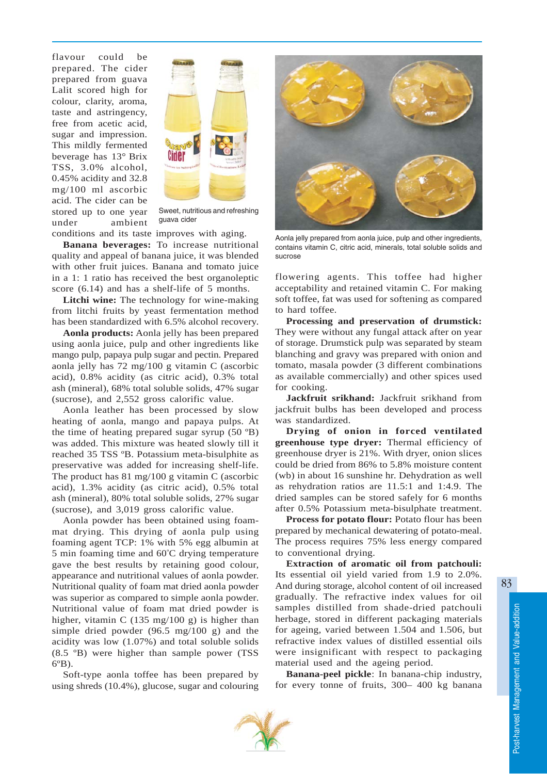flavour could be prepared. The cider prepared from guava Lalit scored high for colour, clarity, aroma, taste and astringency, free from acetic acid, sugar and impression. This mildly fermented beverage has 13° Brix TSS, 3.0% alcohol, 0.45% acidity and 32.8 mg/100 ml ascorbic acid. The cider can be stored up to one year under ambient



Sweet, nutritious and refreshing guava cider

conditions and its taste improves with aging.

**Banana beverages:** To increase nutritional quality and appeal of banana juice, it was blended with other fruit juices. Banana and tomato juice in a 1: 1 ratio has received the best organoleptic score (6.14) and has a shelf-life of 5 months.

**Litchi wine:** The technology for wine-making from litchi fruits by yeast fermentation method has been standardized with 6.5% alcohol recovery.

**Aonla products:** Aonla jelly has been prepared using aonla juice, pulp and other ingredients like mango pulp, papaya pulp sugar and pectin. Prepared aonla jelly has 72 mg/100 g vitamin C (ascorbic acid), 0.8% acidity (as citric acid), 0.3% total ash (mineral), 68% total soluble solids, 47% sugar (sucrose), and 2,552 gross calorific value.

Aonla leather has been processed by slow heating of aonla, mango and papaya pulps. At the time of heating prepared sugar syrup (50 ºB) was added. This mixture was heated slowly till it reached 35 TSS ºB. Potassium meta-bisulphite as preservative was added for increasing shelf-life. The product has 81 mg/100 g vitamin C (ascorbic acid), 1.3% acidity (as citric acid), 0.5% total ash (mineral), 80% total soluble solids, 27% sugar (sucrose), and 3,019 gross calorific value.

Aonla powder has been obtained using foammat drying. This drying of aonla pulp using foaming agent TCP: 1% with 5% egg albumin at 5 min foaming time and 60º C drying temperature gave the best results by retaining good colour, appearance and nutritional values of aonla powder. Nutritional quality of foam mat dried aonla powder was superior as compared to simple aonla powder. Nutritional value of foam mat dried powder is higher, vitamin C (135 mg/100 g) is higher than simple dried powder (96.5 mg/100 g) and the acidity was low (1.07%) and total soluble solids (8.5 ºB) were higher than sample power (TSS 6ºB).

Soft-type aonla toffee has been prepared by using shreds (10.4%), glucose, sugar and colouring



Aonla jelly prepared from aonla juice, pulp and other ingredients, contains vitamin C, citric acid, minerals, total soluble solids and sucrose

flowering agents. This toffee had higher acceptability and retained vitamin C. For making soft toffee, fat was used for softening as compared to hard toffee.

**Processing and preservation of drumstick:** They were without any fungal attack after on year of storage. Drumstick pulp was separated by steam blanching and gravy was prepared with onion and tomato, masala powder (3 different combinations as available commercially) and other spices used for cooking.

**Jackfruit srikhand:** Jackfruit srikhand from jackfruit bulbs has been developed and process was standardized.

**Drying of onion in forced ventilated greenhouse type dryer:** Thermal efficiency of greenhouse dryer is 21%. With dryer, onion slices could be dried from 86% to 5.8% moisture content (wb) in about 16 sunshine hr. Dehydration as well as rehydration ratios are 11.5:1 and 1:4.9. The dried samples can be stored safely for 6 months after 0.5% Potassium meta-bisulphate treatment.

**Process for potato flour:** Potato flour has been prepared by mechanical dewatering of potato-meal. The process requires 75% less energy compared to conventional drying.

**Extraction of aromatic oil from patchouli:** Its essential oil yield varied from 1.9 to 2.0%. And during storage, alcohol content of oil increased gradually. The refractive index values for oil samples distilled from shade-dried patchouli herbage, stored in different packaging materials for ageing, varied between 1.504 and 1.506, but refractive index values of distilled essential oils were insignificant with respect to packaging material used and the ageing period.

**Banana-peel pickle**: In banana-chip industry, for every tonne of fruits, 300– 400 kg banana

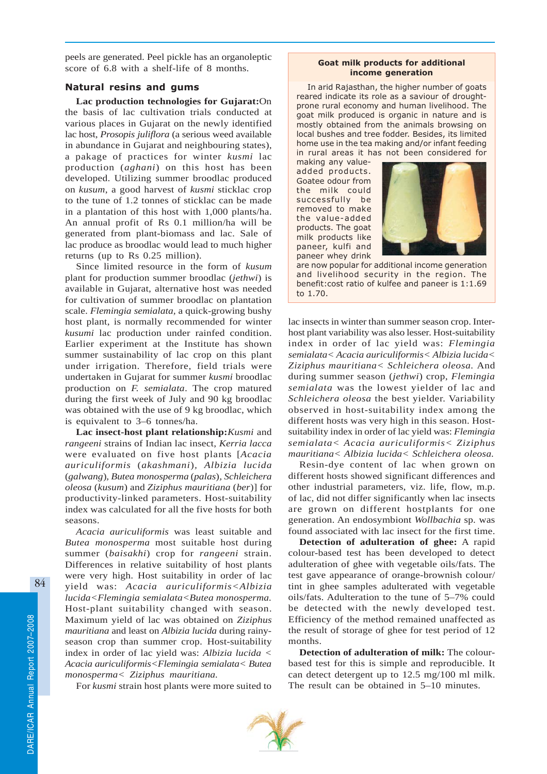peels are generated. Peel pickle has an organoleptic score of 6.8 with a shelf-life of 8 months.

## Natural resins and gums

**Lac production technologies for Gujarat:**On the basis of lac cultivation trials conducted at various places in Gujarat on the newly identified lac host, *Prosopis juliflora* (a serious weed available in abundance in Gujarat and neighbouring states), a pakage of practices for winter *kusmi* lac production (*aghani*) on this host has been developed. Utilizing summer broodlac produced on *kusum*, a good harvest of *kusmi* sticklac crop to the tune of 1.2 tonnes of sticklac can be made in a plantation of this host with 1,000 plants/ha. An annual profit of Rs 0.1 million/ha will be generated from plant-biomass and lac. Sale of lac produce as broodlac would lead to much higher returns (up to Rs 0.25 million).

Since limited resource in the form of *kusum* plant for production summer broodlac (*jethwi*) is available in Gujarat, alternative host was needed for cultivation of summer broodlac on plantation scale. *Flemingia semialata,* a quick-growing bushy host plant, is normally recommended for winter *kusumi* lac production under rainfed condition. Earlier experiment at the Institute has shown summer sustainability of lac crop on this plant under irrigation. Therefore, field trials were undertaken in Gujarat for summer *kusmi* broodlac production on *F. semialata*. The crop matured during the first week of July and 90 kg broodlac was obtained with the use of 9 kg broodlac, which is equivalent to 3–6 tonnes/ha.

**Lac insect-host plant relationship:***Kusmi* and *rangeeni* strains of Indian lac insect, *Kerria lacca* were evaluated on five host plants [*Acacia auriculiformis* (*akashmani*)*, Albizia lucida* (*galwang*)*, Butea monosperma* (*palas*)*, Schleichera oleosa* (*kusum*) and *Ziziphus mauritiana* (*ber*)] for productivity-linked parameters. Host-suitability index was calculated for all the five hosts for both seasons.

*Acacia auriculiformis* was least suitable and *Butea monosperma* most suitable host during summer (*baisakhi*) crop for *rangeeni* strain. Differences in relative suitability of host plants were very high. Host suitability in order of lac yield was: *Acacia auriculiformis<Albizia lucida<Flemingia semialata<Butea monosperma.* Host-plant suitability changed with season. Maximum yield of lac was obtained on *Ziziphus mauritiana* and least on *Albizia lucida* during rainyseason crop than summer crop. Host-suitability index in order of lac yield was: *Albizia lucida < Acacia auriculiformis<Flemingia semialata< Butea monosperma< Ziziphus mauritiana.*

For *kusmi* strain host plants were more suited to

#### Goat milk products for additional income generation

In arid Rajasthan, the higher number of goats reared indicate its role as a saviour of droughtprone rural economy and human livelihood. The goat milk produced is organic in nature and is mostly obtained from the animals browsing on local bushes and tree fodder. Besides, its limited home use in the tea making and/or infant feeding in rural areas it has not been considered for

making any valueadded products. Goatee odour from the milk could successfully be removed to make the value-added products. The goat milk products like paneer, kulfi and paneer whey drink



are now popular for additional income generation and livelihood security in the region. The benefit:cost ratio of kulfee and paneer is 1:1.69 to 1.70.

lac insects in winter than summer season crop. Interhost plant variability was also lesser. Host-suitability index in order of lac yield was: *Flemingia semialata< Acacia auriculiformis< Albizia lucida< Ziziphus mauritiana< Schleichera oleosa.* And during summer season (*jethwi*) crop, *Flemingia semialata* was the lowest yielder of lac and *Schleichera oleosa* the best yielder. Variability observed in host-suitability index among the different hosts was very high in this season. Hostsuitability index in order of lac yield was: *Flemingia semialata< Acacia auriculiformis< Ziziphus mauritiana< Albizia lucida< Schleichera oleosa.*

Resin-dye content of lac when grown on different hosts showed significant differences and other industrial parameters, viz. life, flow, m.p. of lac, did not differ significantly when lac insects are grown on different hostplants for one generation. An endosymbiont *Wollbachia* sp*.* was found associated with lac insect for the first time.

**Detection of adulteration of ghee:** A rapid colour-based test has been developed to detect adulteration of ghee with vegetable oils/fats. The test gave appearance of orange-brownish colour/ tint in ghee samples adulterated with vegetable oils/fats. Adulteration to the tune of 5–7% could be detected with the newly developed test. Efficiency of the method remained unaffected as the result of storage of ghee for test period of 12 months.

**Detection of adulteration of milk:** The colourbased test for this is simple and reproducible. It can detect detergent up to 12.5 mg/100 ml milk. The result can be obtained in 5–10 minutes.

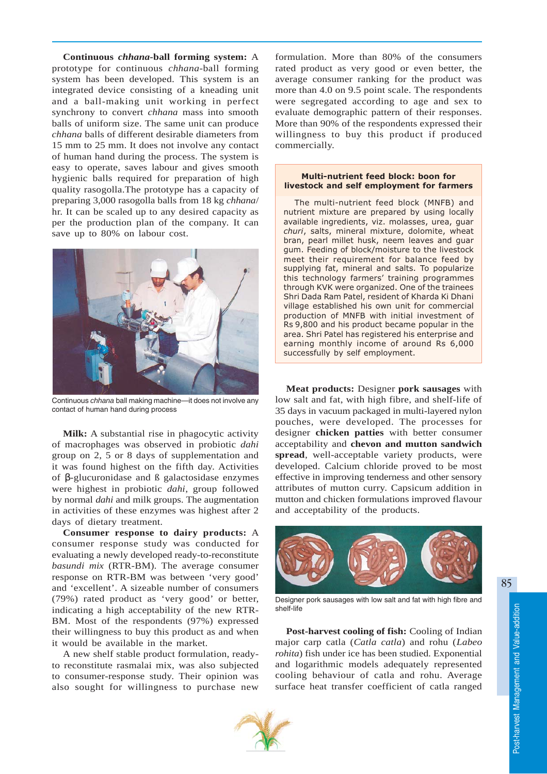**Continuous** *chhana***-ball forming system:** A prototype for continuous *chhana*-ball forming system has been developed. This system is an integrated device consisting of a kneading unit and a ball-making unit working in perfect synchrony to convert *chhana* mass into smooth balls of uniform size. The same unit can produce *chhana* balls of different desirable diameters from 15 mm to 25 mm. It does not involve any contact of human hand during the process. The system is easy to operate, saves labour and gives smooth hygienic balls required for preparation of high quality rasogolla.The prototype has a capacity of preparing 3,000 rasogolla balls from 18 kg *chhana*/ hr. It can be scaled up to any desired capacity as per the production plan of the company. It can save up to 80% on labour cost.



Continuous *chhana* ball making machine—it does not involve any contact of human hand during process

**Milk:** A substantial rise in phagocytic activity of macrophages was observed in probiotic *dahi* group on 2, 5 or 8 days of supplementation and it was found highest on the fifth day. Activities of β-glucuronidase and ß galactosidase enzymes were highest in probiotic *dahi*, group followed by normal *dahi* and milk groups. The augmentation in activities of these enzymes was highest after 2 days of dietary treatment.

**Consumer response to dairy products:** A consumer response study was conducted for evaluating a newly developed ready-to-reconstitute *basundi mix* (RTR-BM)*.* The average consumer response on RTR-BM was between 'very good' and 'excellent'. A sizeable number of consumers (79%) rated product as 'very good' or better, indicating a high acceptability of the new RTR-BM. Most of the respondents (97%) expressed their willingness to buy this product as and when it would be available in the market.

A new shelf stable product formulation, readyto reconstitute rasmalai mix, was also subjected to consumer-response study. Their opinion was also sought for willingness to purchase new

formulation. More than 80% of the consumers rated product as very good or even better, the average consumer ranking for the product was more than 4.0 on 9.5 point scale. The respondents were segregated according to age and sex to evaluate demographic pattern of their responses. More than 90% of the respondents expressed their willingness to buy this product if produced commercially.

## Multi-nutrient feed block: boon for livestock and self employment for farmers

The multi-nutrient feed block (MNFB) and nutrient mixture are prepared by using locally available ingredients, viz. molasses, urea, guar churi, salts, mineral mixture, dolomite, wheat bran, pearl millet husk, neem leaves and guar gum. Feeding of block/moisture to the livestock meet their requirement for balance feed by supplying fat, mineral and salts. To popularize this technology farmers' training programmes through KVK were organized. One of the trainees Shri Dada Ram Patel, resident of Kharda Ki Dhani village established his own unit for commercial production of MNFB with initial investment of Rs 9,800 and his product became popular in the area. Shri Patel has registered his enterprise and earning monthly income of around Rs 6,000 successfully by self employment.

**Meat products:** Designer **pork sausages** with low salt and fat, with high fibre, and shelf-life of 35 days in vacuum packaged in multi-layered nylon pouches, were developed. The processes for designer **chicken patties** with better consumer acceptability and **chevon and mutton sandwich spread**, well-acceptable variety products, were developed. Calcium chloride proved to be most effective in improving tenderness and other sensory attributes of mutton curry. Capsicum addition in mutton and chicken formulations improved flavour and acceptability of the products.



Designer pork sausages with low salt and fat with high fibre and shelf-life

**Post-harvest cooling of fish:** Cooling of Indian major carp catla (*Catla catla*) and rohu (*Labeo rohita*) fish under ice has been studied. Exponential and logarithmic models adequately represented cooling behaviour of catla and rohu. Average surface heat transfer coefficient of catla ranged



85